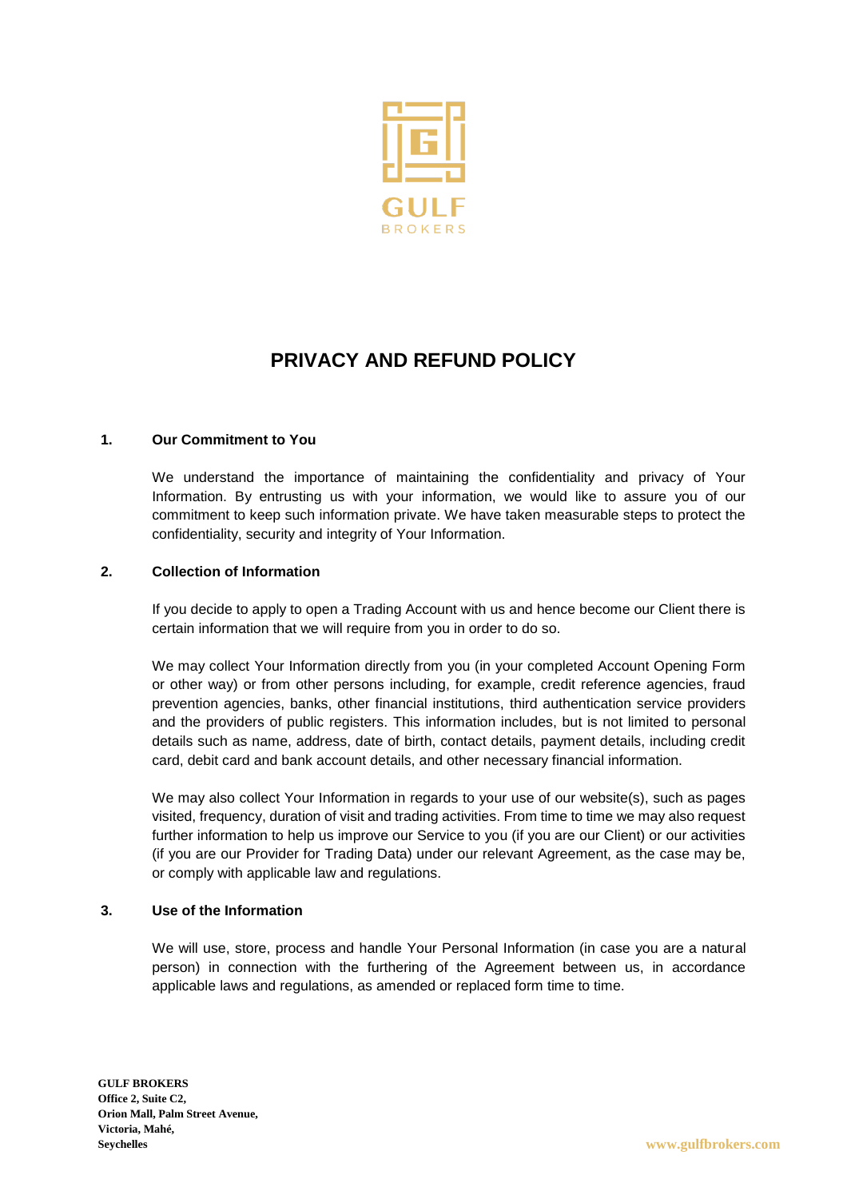

# **PRIVACY AND REFUND POLICY**

# **1. Our Commitment to You**

We understand the importance of maintaining the confidentiality and privacy of Your Information. By entrusting us with your information, we would like to assure you of our commitment to keep such information private. We have taken measurable steps to protect the confidentiality, security and integrity of Your Information.

### **2. Collection of Information**

If you decide to apply to open a Trading Account with us and hence become our Client there is certain information that we will require from you in order to do so.

We may collect Your Information directly from you (in your completed Account Opening Form or other way) or from other persons including, for example, credit reference agencies, fraud prevention agencies, banks, other financial institutions, third authentication service providers and the providers of public registers. This information includes, but is not limited to personal details such as name, address, date of birth, contact details, payment details, including credit card, debit card and bank account details, and other necessary financial information.

We may also collect Your Information in regards to your use of our website(s), such as pages visited, frequency, duration of visit and trading activities. From time to time we may also request further information to help us improve our Service to you (if you are our Client) or our activities (if you are our Provider for Trading Data) under our relevant Agreement, as the case may be, or comply with applicable law and regulations.

### **3. Use of the Information**

We will use, store, process and handle Your Personal Information (in case you are a natural person) in connection with the furthering of the Agreement between us, in accordance applicable laws and regulations, as amended or replaced form time to time.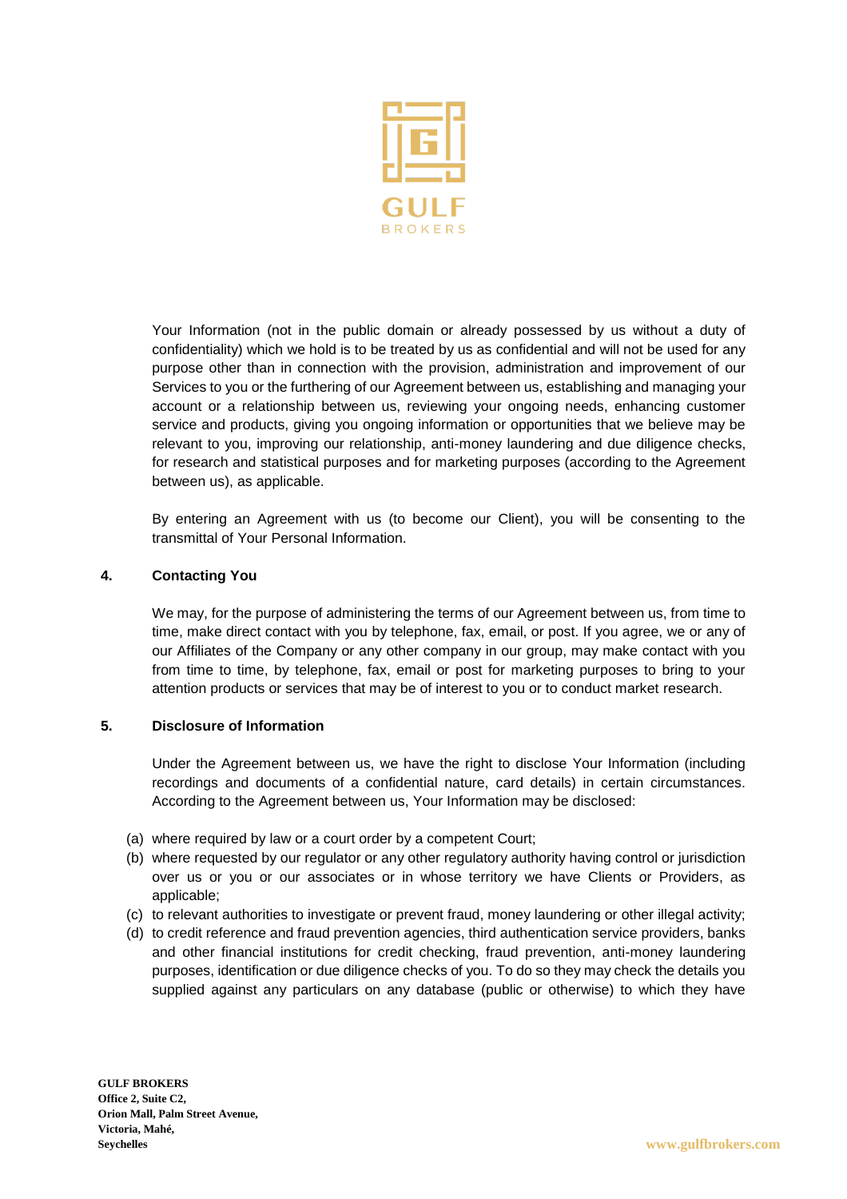

Your Information (not in the public domain or already possessed by us without a duty of confidentiality) which we hold is to be treated by us as confidential and will not be used for any purpose other than in connection with the provision, administration and improvement of our Services to you or the furthering of our Agreement between us, establishing and managing your account or a relationship between us, reviewing your ongoing needs, enhancing customer service and products, giving you ongoing information or opportunities that we believe may be relevant to you, improving our relationship, anti-money laundering and due diligence checks, for research and statistical purposes and for marketing purposes (according to the Agreement between us), as applicable.

By entering an Agreement with us (to become our Client), you will be consenting to the transmittal of Your Personal Information.

### **4. Contacting You**

We may, for the purpose of administering the terms of our Agreement between us, from time to time, make direct contact with you by telephone, fax, email, or post. If you agree, we or any of our Affiliates of the Company or any other company in our group, may make contact with you from time to time, by telephone, fax, email or post for marketing purposes to bring to your attention products or services that may be of interest to you or to conduct market research.

# **5. Disclosure of Information**

Under the Agreement between us, we have the right to disclose Your Information (including recordings and documents of a confidential nature, card details) in certain circumstances. According to the Agreement between us, Your Information may be disclosed:

- (a) where required by law or a court order by a competent Court;
- (b) where requested by our regulator or any other regulatory authority having control or jurisdiction over us or you or our associates or in whose territory we have Clients or Providers, as applicable;
- (c) to relevant authorities to investigate or prevent fraud, money laundering or other illegal activity;
- (d) to credit reference and fraud prevention agencies, third authentication service providers, banks and other financial institutions for credit checking, fraud prevention, anti-money laundering purposes, identification or due diligence checks of you. To do so they may check the details you supplied against any particulars on any database (public or otherwise) to which they have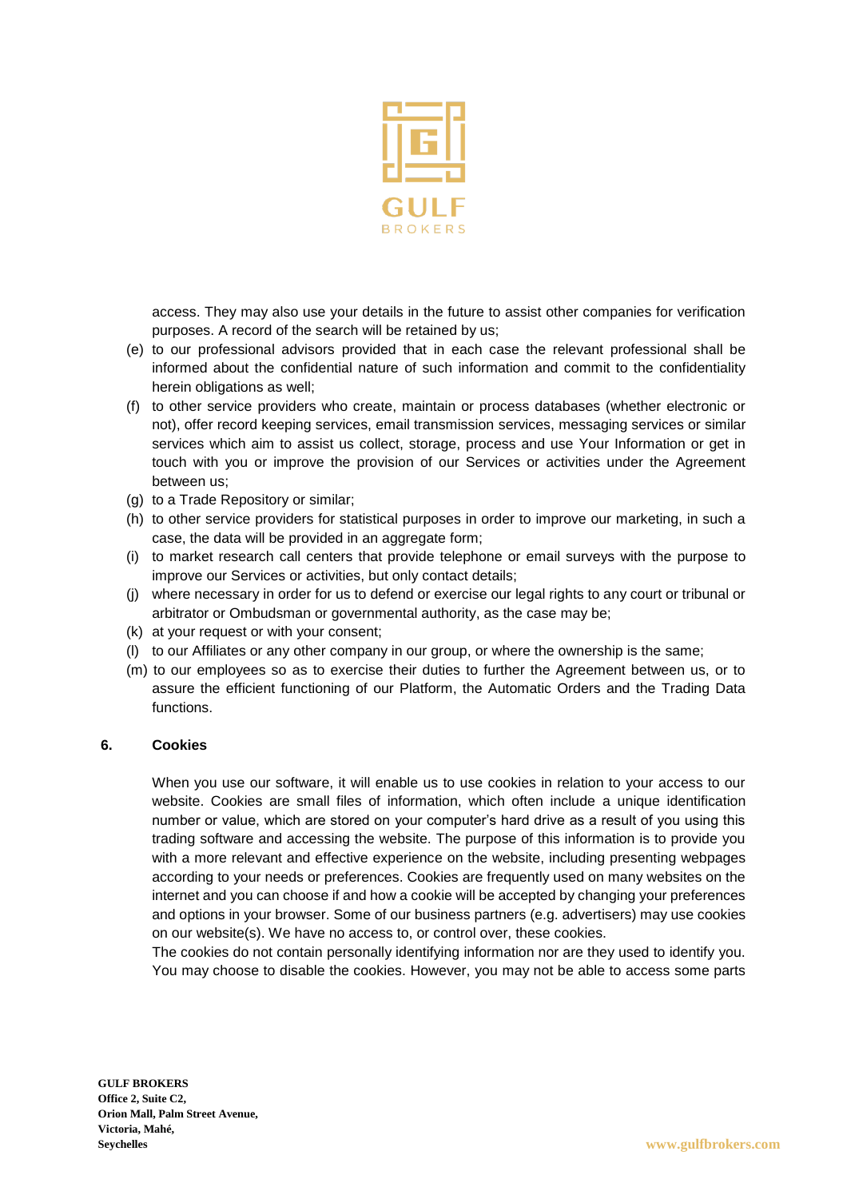

access. They may also use your details in the future to assist other companies for verification purposes. A record of the search will be retained by us;

- (e) to our professional advisors provided that in each case the relevant professional shall be informed about the confidential nature of such information and commit to the confidentiality herein obligations as well;
- (f) to other service providers who create, maintain or process databases (whether electronic or not), offer record keeping services, email transmission services, messaging services or similar services which aim to assist us collect, storage, process and use Your Information or get in touch with you or improve the provision of our Services or activities under the Agreement between us;
- (g) to a Trade Repository or similar;
- (h) to other service providers for statistical purposes in order to improve our marketing, in such a case, the data will be provided in an aggregate form;
- (i) to market research call centers that provide telephone or email surveys with the purpose to improve our Services or activities, but only contact details;
- (j) where necessary in order for us to defend or exercise our legal rights to any court or tribunal or arbitrator or Ombudsman or governmental authority, as the case may be;
- (k) at your request or with your consent;
- (l) to our Affiliates or any other company in our group, or where the ownership is the same;
- (m) to our employees so as to exercise their duties to further the Agreement between us, or to assure the efficient functioning of our Platform, the Automatic Orders and the Trading Data functions.

#### **6. Cookies**

When you use our software, it will enable us to use cookies in relation to your access to our website. Cookies are small files of information, which often include a unique identification number or value, which are stored on your computer's hard drive as a result of you using this trading software and accessing the website. The purpose of this information is to provide you with a more relevant and effective experience on the website, including presenting webpages according to your needs or preferences. Cookies are frequently used on many websites on the internet and you can choose if and how a cookie will be accepted by changing your preferences and options in your browser. Some of our business partners (e.g. advertisers) may use cookies on our website(s). We have no access to, or control over, these cookies.

The cookies do not contain personally identifying information nor are they used to identify you. You may choose to disable the cookies. However, you may not be able to access some parts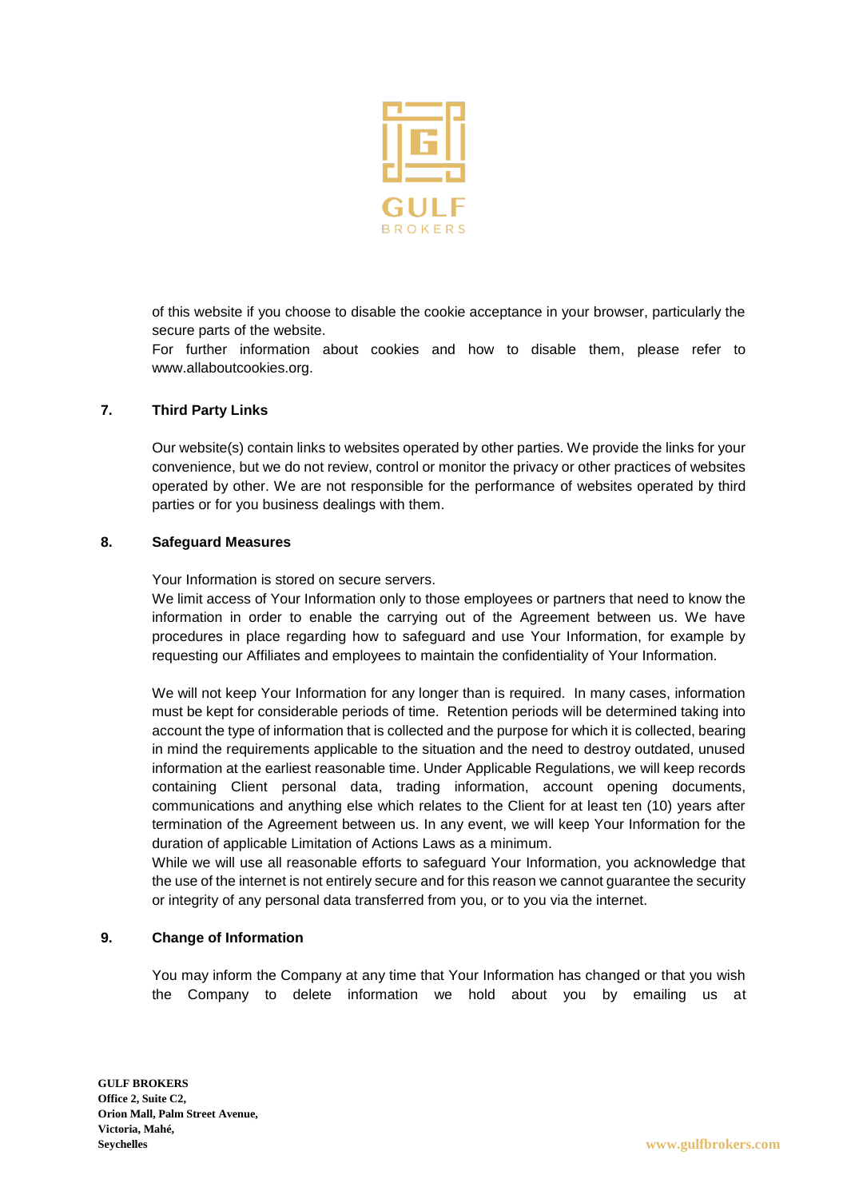

of this website if you choose to disable the cookie acceptance in your browser, particularly the secure parts of the website.

For further information about cookies and how to disable them, please refer to [www.allaboutcookies.org.](http://www.allaboutcookies.org/)

### **7. Third Party Links**

Our website(s) contain links to websites operated by other parties. We provide the links for your convenience, but we do not review, control or monitor the privacy or other practices of websites operated by other. We are not responsible for the performance of websites operated by third parties or for you business dealings with them.

#### **8. Safeguard Measures**

Your Information is stored on secure servers.

We limit access of Your Information only to those employees or partners that need to know the information in order to enable the carrying out of the Agreement between us. We have procedures in place regarding how to safeguard and use Your Information, for example by requesting our Affiliates and employees to maintain the confidentiality of Your Information.

We will not keep Your Information for any longer than is required. In many cases, information must be kept for considerable periods of time. Retention periods will be determined taking into account the type of information that is collected and the purpose for which it is collected, bearing in mind the requirements applicable to the situation and the need to destroy outdated, unused information at the earliest reasonable time. Under Applicable Regulations, we will keep records containing Client personal data, trading information, account opening documents, communications and anything else which relates to the Client for at least ten (10) years after termination of the Agreement between us. In any event, we will keep Your Information for the duration of applicable Limitation of Actions Laws as a minimum.

While we will use all reasonable efforts to safeguard Your Information, you acknowledge that the use of the internet is not entirely secure and for this reason we cannot guarantee the security or integrity of any personal data transferred from you, or to you via the internet.

#### **9. Change of Information**

You may inform the Company at any time that Your Information has changed or that you wish the Company to delete information we hold about you by emailing us at